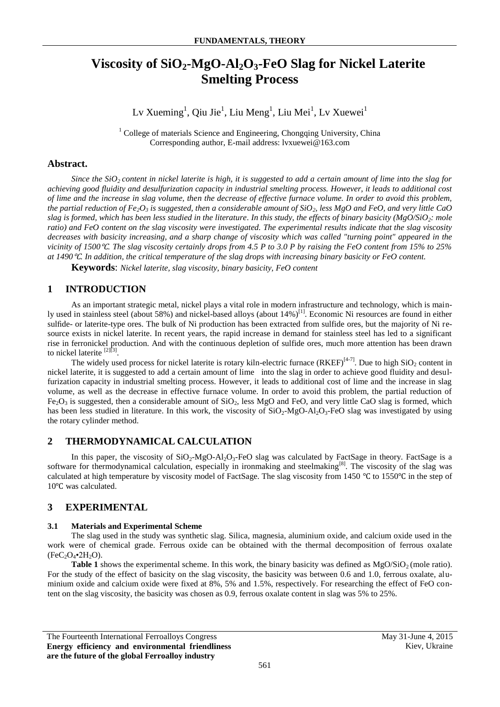# **Viscosity of SiO2-MgO-Al2O3-FeO Slag for Nickel Laterite Smelting Process**

 $L$ v Xueming $^1$ , Qiu Jie $^1$ , Liu Meng $^1$ , Liu Mei $^1$ , Lv Xuewei $^1$ 

<sup>1</sup> College of materials Science and Engineering, Chongqing University, China Corresponding author, E-mail address: lvxuewei@163.com

# **Abstract.**

*Since the SiO2 content in nickel laterite is high, it is suggested to add a certain amount of lime into the slag for achieving good fluidity and desulfurization capacity in industrial smelting process. However, it leads to additional cost of lime and the increase in slag volume, then the decrease of effective furnace volume. In order to avoid this problem, the partial reduction of Fe2O<sup>3</sup> is suggested, then a considerable amount of SiO2, less MgO and FeO, and very little CaO slag is formed, which has been less studied in the literature. In this study, the effects of binary basicity (MgO/SiO2: mole ratio) and FeO content on the slag viscosity were investigated. The experimental results indicate that the slag viscosity decreases with basicity increasing, and a sharp change of viscosity which was called "turning point" appeared in the vicinity of 1500*℃*. The slag viscosity certainly drops from 4.5 P to 3.0 P by raising the FeO content from 15% to 25% at 1490*℃*. In addition, the critical temperature of the slag drops with increasing binary basicity or FeO content.* 

**Keywords**: *Nickel laterite, slag viscosity, binary basicity, FeO content*

# **1 INTRODUCTION**

As an important strategic metal, nickel plays a vital role in modern infrastructure and technology, which is mainly used in stainless steel (about 58%) and nickel-based alloys (about 14%)<sup>[1]</sup>. Economic Ni resources are found in either sulfide- or laterite-type ores. The bulk of Ni production has been extracted from sulfide ores, but the majority of Ni resource exists in nickel laterite. In recent years, the rapid increase in demand for stainless steel has led to a significant rise in ferronickel production. And with the continuous depletion of sulfide ores, much more attention has been drawn to nickel laterite [2]<sup>[3]</sup>.

The widely used process for nickel laterite is rotary kiln-electric furnace  $(RKEF)^{[4-7]}$ . Due to high SiO<sub>2</sub> content in nickel laterite, it is suggested to add a certain amount of lime into the slag in order to achieve good fluidity and desulfurization capacity in industrial smelting process. However, it leads to additional cost of lime and the increase in slag volume, as well as the decrease in effective furnace volume. In order to avoid this problem, the partial reduction of  $Fe<sub>2</sub>O<sub>3</sub>$  is suggested, then a considerable amount of  $SiO<sub>2</sub>$ , less MgO and FeO, and very little CaO slag is formed, which has been less studied in literature. In this work, the viscosity of  $SiO<sub>2</sub>-MgO-AI<sub>2</sub>O<sub>3</sub>$ -FeO slag was investigated by using the rotary cylinder method.

# **2 THERMODYNAMICAL CALCULATION**

In this paper, the viscosity of  $SiO_2-MgO-Al_2O_3-FeO$  slag was calculated by FactSage in theory. FactSage is a software for thermodynamical calculation, especially in ironmaking and steelmaking<sup>[8]</sup>. The viscosity of the slag was calculated at high temperature by viscosity model of FactSage. The slag viscosity from 1450 ℃ to 1550℃ in the step of 10℃ was calculated.

# **3 EXPERIMENTAL**

### **3.1 Materials and Experimental Scheme**

The slag used in the study was synthetic slag. Silica, magnesia, aluminium oxide, and calcium oxide used in the work were of chemical grade. Ferrous oxide can be obtained with the thermal decomposition of ferrous oxalate  $(FeC<sub>2</sub>O<sub>4</sub>•2H<sub>2</sub>O).$ 

**Table 1** shows the experimental scheme. In this work, the binary basicity was defined as  $MgO/SiO<sub>2</sub>$  (mole ratio). For the study of the effect of basicity on the slag viscosity, the basicity was between 0.6 and 1.0, ferrous oxalate, aluminium oxide and calcium oxide were fixed at 8%, 5% and 1.5%, respectively. For researching the effect of FeO content on the slag viscosity, the basicity was chosen as 0.9, ferrous oxalate content in slag was 5% to 25%.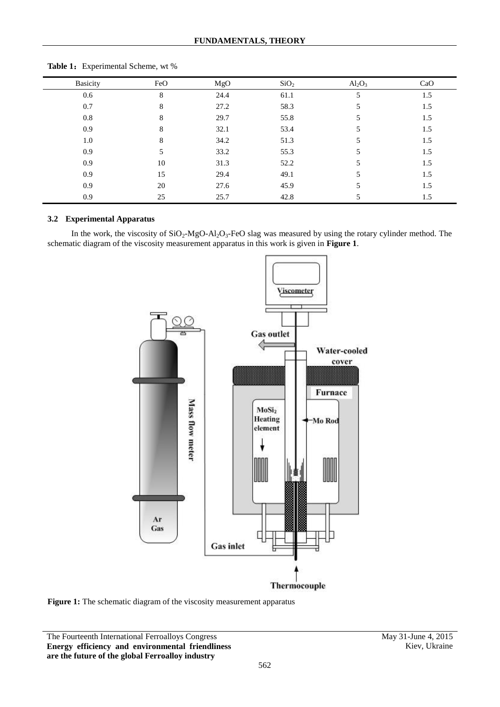| <b>Basicity</b> | FeO | MgO  | SiO <sub>2</sub> | $\text{Al}_2\text{O}_3$ | CaO |
|-----------------|-----|------|------------------|-------------------------|-----|
| 0.6             | 8   | 24.4 | 61.1             | 5                       | 1.5 |
| 0.7             | 8   | 27.2 | 58.3             | 5                       | 1.5 |
| 0.8             | 8   | 29.7 | 55.8             | 5                       | 1.5 |
| 0.9             | 8   | 32.1 | 53.4             | 5                       | 1.5 |
| 1.0             | 8   | 34.2 | 51.3             | 5                       | 1.5 |
| 0.9             |     | 33.2 | 55.3             | 5                       | 1.5 |
| 0.9             | 10  | 31.3 | 52.2             | 5                       | 1.5 |
| 0.9             | 15  | 29.4 | 49.1             | 5                       | 1.5 |
| 0.9             | 20  | 27.6 | 45.9             |                         | 1.5 |
| 0.9             | 25  | 25.7 | 42.8             |                         | 1.5 |
|                 |     |      |                  |                         |     |

Table 1: Experimental Scheme, wt %

### **3.2 Experimental Apparatus**

In the work, the viscosity of  $SiO_2$ -MgO-Al<sub>2</sub>O<sub>3</sub>-FeO slag was measured by using the rotary cylinder method. The schematic diagram of the viscosity measurement apparatus in this work is given in **Figure 1**.



**Figure 1:** The schematic diagram of the viscosity measurement apparatus

The Fourteenth International Ferroalloys Congress May 31-June 4, 2015 **Energy efficiency and environmental friendliness are the future of the global Ferroalloy industry**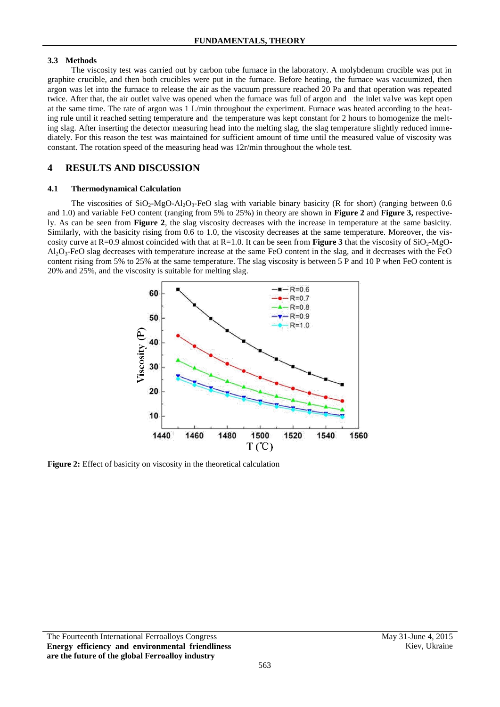### **3.3 Methods**

The viscosity test was carried out by carbon tube furnace in the laboratory. A molybdenum crucible was put in graphite crucible, and then both crucibles were put in the furnace. Before heating, the furnace was vacuumized, then argon was let into the furnace to release the air as the vacuum pressure reached 20 Pa and that operation was repeated twice. After that, the air outlet valve was opened when the furnace was full of argon and the inlet valve was kept open at the same time. The rate of argon was 1 L/min throughout the experiment. Furnace was heated according to the heating rule until it reached setting temperature and the temperature was kept constant for 2 hours to homogenize the melting slag. After inserting the detector measuring head into the melting slag, the slag temperature slightly reduced immediately. For this reason the test was maintained for sufficient amount of time until the measured value of viscosity was constant. The rotation speed of the measuring head was 12r/min throughout the whole test.

# **4 RESULTS AND DISCUSSION**

#### **4.1 Thermodynamical Calculation**

The viscosities of  $SiO<sub>2</sub>-MgO-Al<sub>2</sub>O<sub>3</sub>-FeO$  slag with variable binary basicity (R for short) (ranging between 0.6 and 1.0) and variable FeO content (ranging from 5% to 25%) in theory are shown in **Figure 2** and **Figure 3,** respectively. As can be seen from **Figure 2**, the slag viscosity decreases with the increase in temperature at the same basicity. Similarly, with the basicity rising from 0.6 to 1.0, the viscosity decreases at the same temperature. Moreover, the viscosity curve at  $R=0.9$  almost coincided with that at  $R=1.0$ . It can be seen from **Figure 3** that the viscosity of  $SiO<sub>2</sub>-MgO AI_2O_3$ -FeO slag decreases with temperature increase at the same FeO content in the slag, and it decreases with the FeO content rising from 5% to 25% at the same temperature. The slag viscosity is between 5 P and 10 P when FeO content is 20% and 25%, and the viscosity is suitable for melting slag.



**Figure 2:** Effect of basicity on viscosity in the theoretical calculation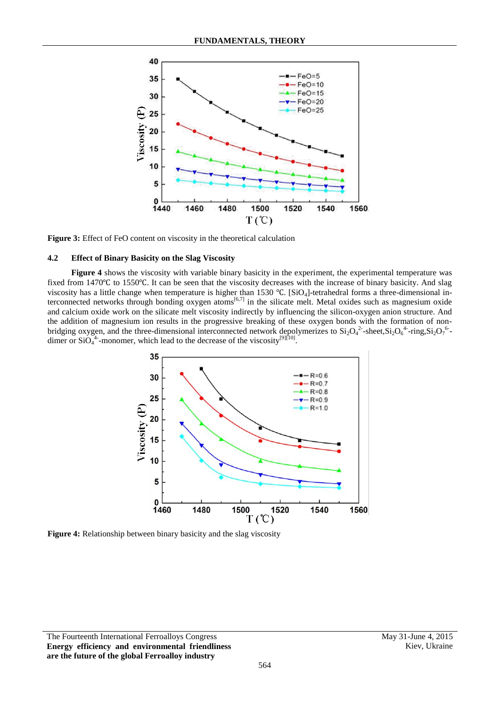

**Figure 3:** Effect of FeO content on viscosity in the theoretical calculation

#### **4.2 Effect of Binary Basicity on the Slag Viscosity**

**Figure 4** shows the viscosity with variable binary basicity in the experiment, the experimental temperature was fixed from 1470℃ to 1550℃. It can be seen that the viscosity decreases with the increase of binary basicity. And slag viscosity has a little change when temperature is higher than 1530 ℃. [SiO4]-tetrahedral forms a three-dimensional in-VISCOSITY HAS A HILLE CHANGE WHEN REHIPFLATURE IS HIGHLY THAN 1990 G. [5104]-connected networks through bonding oxygen atoms<sup>[6,7]</sup> in the silicate melt. Metal oxides such as magnesium oxide terconnected networks through and calcium oxide work on the silicate melt viscosity indirectly by influencing the silicon-oxygen anion structure. And the addition of magnesium ion results in the progressive breaking of these oxygen bonds with the formation of nonbridging oxygen, and the three-dimensional interconnected network depolymerizes to  $Si_2O_4^2$ -sheet, $Si_2O_6^4$ -ring, $Si_2O_7^6$ dimer or  $SiO_4^4$ -monomer, which lead to the decrease of the viscosity<sup>[9][10]</sup>.



**Figure 4:** Relationship between binary basicity and the slag viscosity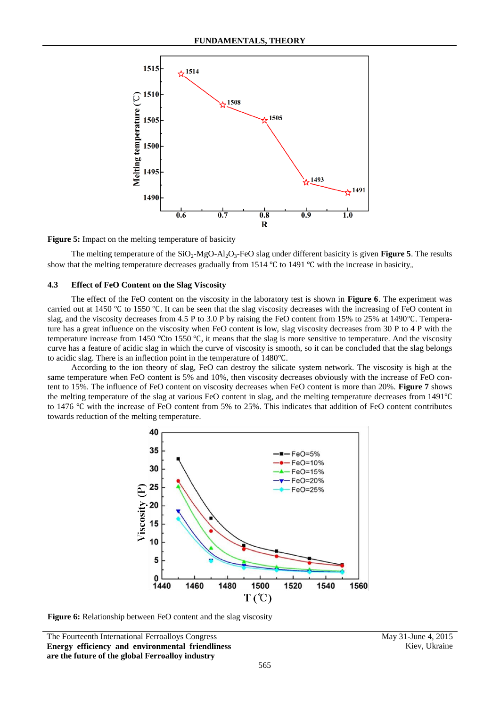

**Figure 5:** Impact on the melting temperature of basicity

The melting temperature of the  $SiO_2-H_2O_3-FeO$  slag under different basicity is given **Figure 5**. The results show that the melting temperature decreases gradually from 1514 ℃ to 1491 ℃ with the increase in basicity。

#### **4.3 Effect of FeO Content on the Slag Viscosity**

The effect of the FeO content on the viscosity in the laboratory test is shown in **Figure 6**. The experiment was carried out at 1450 ℃ to 1550 ℃. It can be seen that the slag viscosity decreases with the increasing of FeO content in slag, and the viscosity decreases from 4.5 P to 3.0 P by raising the FeO content from 15% to 25% at 1490℃. Temperature has a great influence on the viscosity when FeO content is low, slag viscosity decreases from 30 P to 4 P with the temperature increase from 1450 ℃to 1550 ℃, it means that the slag is more sensitive to temperature. And the viscosity curve has a feature of acidic slag in which the curve of viscosity is smooth, so it can be concluded that the slag belongs to acidic slag. There is an inflection point in the temperature of 1480℃.

According to the ion theory of slag, FeO can destroy the silicate system network. The viscosity is high at the same temperature when FeO content is 5% and 10%, then viscosity decreases obviously with the increase of FeO content to 15%. The influence of FeO content on viscosity decreases when FeO content is more than 20%. **Figure 7** shows the melting temperature of the slag at various FeO content in slag, and the melting temperature decreases from 1491℃ to 1476 ℃ with the increase of FeO content from 5% to 25%. This indicates that addition of FeO content contributes towards reduction of the melting temperature.



**Figure 6:** Relationship between FeO content and the slag viscosity

The Fourteenth International Ferroalloys Congress May 31-June 4, 2015 **Energy efficiency and environmental friendliness are the future of the global Ferroalloy industry**